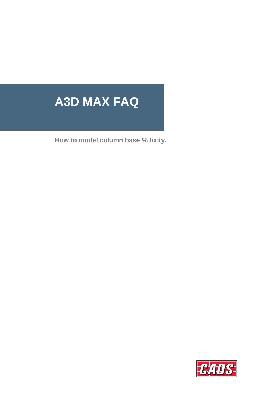# **A3D MAX FAQ**

**How to model column base % fixity.**

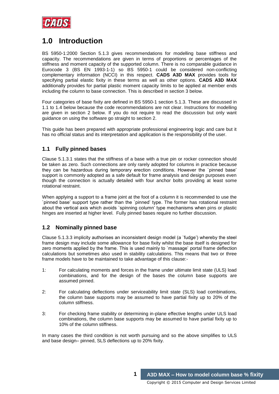

# **1.0 Introduction**

BS 5950-1:2000 Section 5.1.3 gives recommendations for modelling base stiffness and capacity. The recommendations are given in terms of proportions or percentages of the stiffness and moment capacity of the supported column. There is no comparable guidance in Eurocode 3 (BS EN 1993-1-1) so BS 5950-1 could be considered non-conflicting complementary information (NCCI) in this respect. **CADS A3D MAX** provides tools for specifying partial elastic fixity in these terms as well as other options. **CADS A3D MAX** additionally provides for partial plastic moment capacity limits to be applied at member ends including the column to base connection. This is described in section 3 below.

Four categories of base fixity are defined in BS 5950-1 section 5.1.3. These are discussed in 1.1 to 1.4 below because the code recommendations are not clear. Instructions for modelling are given in section 2 below. If you do not require to read the discussion but only want guidance on using the software go straight to section 2.

This guide has been prepared with appropriate professional engineering logic and care but it has no official status and its interpretation and application is the responsibility of the user.

### **1.1 Fully pinned bases**

Clause 5.1.3.1 states that the stiffness of a base with a true pin or rocker connection should be taken as zero. Such connections are only rarely adopted for columns in practice because they can be hazardous during temporary erection conditions. However the `pinned base' support is commonly adopted as a safe default for frame analysis and design purposes even though the connection is actually detailed with four anchor bolts providing at least some rotational restraint.

When applying a support to a frame joint at the foot of a column it is recommended to use the `pinned base' support type rather than the `pinned' type. The former has rotational restraint about the vertical axis which avoids `spinning column' type mechanisms when pins or plastic hinges are inserted at higher level. Fully pinned bases require no further discussion.

## **1.2 Nominally pinned base**

Clause 5.1.3.3 implicity authorises an inconsistent design model (a `fudge') whereby the steel frame design may include some allowance for base fixity whilst the base itself is designed for zero moments applied by the frame. This is used mainly to `massage' portal frame deflection calculations but sometimes also used in stability calculations. This means that two or three frame models have to be maintained to take advantage of this clause:-

- 1: For calculating moments and forces in the frame under ultimate limit state (ULS) load combinations, and for the design of the bases the column base supports are assumed pinned.
- 2: For calculating deflections under serviceability limit state (SLS) load combinations, the column base supports may be assumed to have partial fixity up to 20% of the column stiffness.
- 3: For checking frame stability or determining in-plane effective lengths under ULS load combinations, the column base supports may be assumed to have partial fixity up to 10% of the column stiffness.

In many cases the third condition is not worth pursuing and so the above simplifies to ULS and base design– pinned, SLS deflections up to 20% fixity.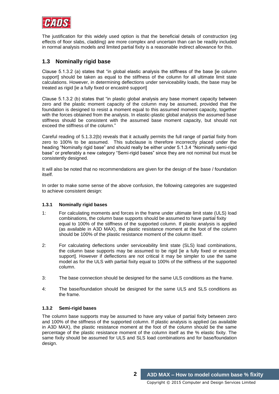

The justification for this widely used option is that the beneficial details of construction (eg effects of floor slabs, cladding) are more complex and uncertain than can be readily included in normal analysis models and limited partial fixity is a reasonable indirect allowance for this.

# **1.3 Nominally rigid base**

Clause 5.1.3.2 (a) states that "in global elastic analysis the stiffness of the base [ie column support] should be taken as equal to the stiffness of the column for all ultimate limit state calculations. However, in determining deflections under serviceability loads, the base may be treated as rigid [ie a fully fixed or encastré support]

Clause 5.1.3.2 (b) states that "in plastic global analysis any base moment capacity between zero and the plastic moment capacity of the column may be assumed, provided that the foundation is designed to resist a moment equal to this assumed moment capacity, together with the forces obtained from the analysis. In elastic-plastic global analysis the assumed base stiffness should be consistent with the assumed base moment capacity, but should not exceed the stiffness of the column."

Careful reading of 5.1.3.2(b) reveals that it actually permits the full range of partial fixity from zero to 100% to be assumed. This subclause is therefore incorrectly placed under the heading "Nominally rigid base" and should really be either under 5.1.3.4 "Nominally semi-rigid base" or preferably a new category "Semi-rigid bases" since they are not nominal but must be consistently designed.

It will also be noted that no recommendations are given for the design of the base / foundation itself.

In order to make some sense of the above confusion, the following categories are suggested to achieve consistent design:

### **1.3.1 Nominally rigid bases**

- 1: For calculating moments and forces in the frame under ultimate limit state (ULS) load combinations, the column base supports should be assumed to have partial fixity equal to 100% of the stiffness of the supported column. If plastic analysis is applied (as available in A3D MAX), the plastic resistance moment at the foot of the column should be 100% of the plastic resistance moment of the column itself.
- 2: For calculating deflections under serviceability limit state (SLS) load combinations, the column base supports may be assumed to be rigid [ie a fully fixed or encastré support]. However if deflections are not critical it may be simpler to use the same model as for the ULS with partial fixity equal to 100% of the stiffness of the supported column.
- 3: The base connection should be designed for the same ULS conditions as the frame.
- 4: The base/foundation should be designed for the same ULS and SLS conditions as the frame.

### **1.3.2 Semi-rigid bases**

The column base supports may be assumed to have any value of partial fixity between zero and 100% of the stiffness of the supported column. If plastic analysis is applied (as available in A3D MAX), the plastic resistance moment at the foot of the column should be the same percentage of the plastic resistance moment of the column itself as the % elastic fixity. The same fixity should be assumed for ULS and SLS load combinations and for base/foundation design.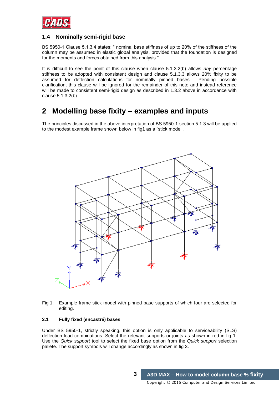

## **1.4 Nominally semi-rigid base**

BS 5950-1 Clause 5.1.3.4 states: " nominal base stiffness of up to 20% of the stiffness of the column may be assumed in elastic global analysis, provided that the foundation is designed for the moments and forces obtained from this analysis."

It is difficult to see the point of this clause when clause 5.1.3.2(b) allows *any* percentage stiffness to be adopted with consistent design and clause 5.1.3.3 allows 20% fixity to be assumed for deflection calculations for nominally pinned bases. Pending possible clarification, this clause will be ignored for the remainder of this note and instead reference will be made to consistent semi-rigid design as described in 1.3.2 above in accordance with clause 5.1.3.2(b).

# **2 Modelling base fixity – examples and inputs**

The principles discussed in the above interpretation of BS 5950-1 section 5.1.3 will be applied to the modest example frame shown below in fig1 as a `stick model'.



Fig 1: Example frame stick model with pinned base supports of which four are selected for editing.

### **2.1 Fully fixed (encastré) bases**

Under BS 5950-1, strictly speaking, this option is only applicable to serviceability (SLS) deflection load combinations. Select the relevant supports or joints as shown in red in fig 1. Use the *Quick support* tool to select the fixed base option from the *Quick support* selection pallete. The support symbols will change accordingly as shown in fig 3.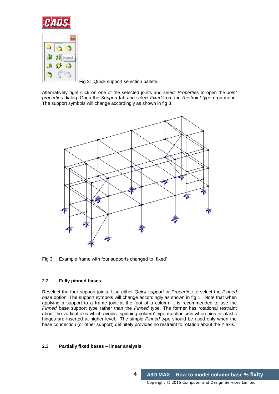



Fig 2: Quick support selection pallete.

Alternatively right click on one of the selected joints and select *Properties* to open the *Joint properties* dialog. Open the *Support* tab and select *Fixed* from the *Restraint type* drop menu. The support symbols will change accordingly as shown in fig 3



Fig 3: Example frame with four supports changed to `fixed'

### **2.2 Fully pinned bases.**

Reselect the four support joints. Use either *Quick support* or *Properties* to select the *Pinned base* option. The support symbols will change accordingly as shown in fig 1. Note that when applying a support to a frame joint at the foot of a column it is recommended to use the *Pinned base* support type rather than the *Pinned* type. The former has rotational restraint about the vertical axis which avoids `spinning column' type mechanisms when pins or plastic hinges are inserted at higher level. The simple *Pinned* type should be used only when the base connection (or other support) definitely provides no restraint to rotation about the Y axis.

### **2.3 Partially fixed bases – linear analysis**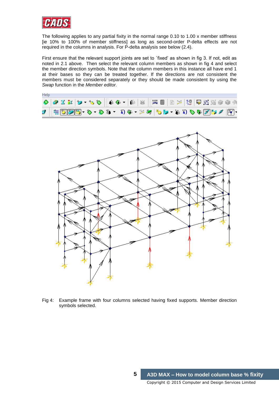

The following applies to any partial fixity in the normal range 0.10 to 1.00 x member stiffness [ie 10% to 100% of member stiffness] as long as second-order P-delta effects are not required in the columns in analysis. For P-delta analysis see below (2.4).

First ensure that the relevant support joints are set to 'fixed' as shown in fig 3. If not, edit as noted in 2.1 above. Then select the relevant column members as shown in fig 4 and select the member direction symbols. Note that the column members in this instance all have end 1 at their bases so they can be treated together. If the directions are not consistent the members must be considered separately or they should be made consistent by using the *Swap* function in the *Member editor.*

| Help |  |  |  |  |  |  |  |  |  |                                                                                                                                                                                                                                                                                                                                                                                                                                                                      |
|------|--|--|--|--|--|--|--|--|--|----------------------------------------------------------------------------------------------------------------------------------------------------------------------------------------------------------------------------------------------------------------------------------------------------------------------------------------------------------------------------------------------------------------------------------------------------------------------|
|      |  |  |  |  |  |  |  |  |  | $\color{blue}\diamond{\color{blue} \mathfrak{D}}\verb if a' \verb b +b\verb c + f\verb d + f\verb d + f\verb d + f\verb d + f\verb d + f\verb d + f\verb d + f\verb d + f\verb d + f\verb d + f\verb d + f\verb d + f\verb d + f\verb d + f\verb d + f\verb d + f\verb d + f\verb d + f\verb d + f\verb d + f\verb d + f\verb d + f\verb d $                                                                                                                         |
|      |  |  |  |  |  |  |  |  |  | $\mathcal{I} \left[ \left\langle \begin{array}{c} \mathfrak{P}_1 \oplus \mathfrak{P}_2 \oplus \mathfrak{P}_3 \oplus \mathfrak{P}_4 \oplus \mathfrak{P}_5 \oplus \mathfrak{P}_6 \oplus \mathfrak{P}_7 \oplus \mathfrak{P}_8 \oplus \mathfrak{P}_7 \oplus \mathfrak{P}_8 \oplus \mathfrak{P}_7 \oplus \mathfrak{P}_8 \oplus \mathfrak{P}_7 \oplus \mathfrak{P}_8 \oplus \mathfrak{P}_8 \oplus \mathfrak{P}_9 \oplus \mathfrak{P}_9 \oplus \mathfrak{P}_9 \right] \opl$ |



Fig 4: Example frame with four columns selected having fixed supports. Member direction symbols selected.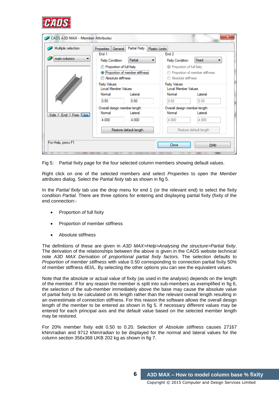

| Multiple selection   | <b>Properties</b><br>General                | Partial Fixity                              | <b>Plastic Limits</b>   |                                        |  |  |  |
|----------------------|---------------------------------------------|---------------------------------------------|-------------------------|----------------------------------------|--|--|--|
|                      | End 1                                       |                                             | End <sub>2</sub>        |                                        |  |  |  |
| main columns         | <b>Fixity Condition</b>                     | Partial<br>▼                                | <b>Fixity Condition</b> | Fixed                                  |  |  |  |
|                      | Proportion of full fixity                   |                                             |                         | <sup>©</sup> Proportion of full fixity |  |  |  |
|                      |                                             | <sup>O</sup> Proportion of member stiffness |                         | Proportion of member stiffness         |  |  |  |
|                      | Absolute stiffness                          |                                             |                         | Absolute stiffness                     |  |  |  |
|                      | <b>Fixity Values</b><br>Local Member Values |                                             | <b>Fixity Values</b>    | Local Member Values                    |  |  |  |
|                      | Normal                                      | Lateral                                     | Normal                  | Lateral                                |  |  |  |
|                      | 0.50                                        | 0.50                                        | 0.50                    | 0.50                                   |  |  |  |
|                      | Overall design member length                |                                             |                         | Overall design member length           |  |  |  |
| End Free Iso<br>Side | Normal                                      | Lateral                                     | Normal                  | Lateral                                |  |  |  |
|                      | 4.000                                       | 4.000                                       | 4.000                   | 4.000                                  |  |  |  |
|                      |                                             | Restore default length                      |                         | Restore default length                 |  |  |  |

Fig 5: Partial fixity page for the four selected column members showing default values.

Right click on one of the selected members and select *Properties* to open the *Member attributes* dialog. Select the *Partial fixity* tab as shown in fig 5.

In the *Partial fixity* tab use the drop menu for end 1 (or the relevant end) to select the fixity condition *Partial.* There are three options for entering and displaying partial fixity (fixity of the end connection:-

- Proportion of full fixity
- Proportion of member stiffness
- Absolute stiffness

The definitions of these are given in *A3D MAX>Help>Analysing the structure>Partial fixity*. The derivation of the relationships between the above is given in the CADS website technical note *A3D MAX Derivation of proportional partial fixity factors.* The selection defaults to *Proportion of member stiffness* with value 0.50 corresponding to connection partial fixity 50% of member stiffness 4EI/L. By selecting the other options you can see the equivalent values.

Note that the absolute or actual value of fixity (as used in the analysis) depends on the length of the member. If for any reason the member is split into sub-members as exemplified in fig 6, the selection of the sub-member immediately above the base may cause the absolute value of partial fixity to be calculated on its length rather than the relevant overall length resulting in an overestimate of connection stiffness. For this reason the software allows the overall design length of the member to be entered as shown in fig 5. If necessary different values may be entered for each principal axis and the default value based on the selected member length may be restored.

For 20% member fixity edit 0.50 to 0.20. Selection of *Absolute stiffness* causes 27167 kNm/radian and 9712 kNm/radian to be displayed for the normal and lateral values for the column section 356x368 UKB 202 kg as shown in fig 7.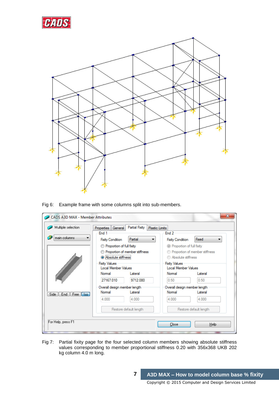



Fig 6: Example frame with some columns split into sub-members.

| Multiple selection      | <b>Properties</b><br>General                       | Partial Fixity<br><b>Plastic Limits</b> |                                                                                                |                        |  |  |
|-------------------------|----------------------------------------------------|-----------------------------------------|------------------------------------------------------------------------------------------------|------------------------|--|--|
| main columns            | End 1                                              |                                         | End <sub>2</sub>                                                                               |                        |  |  |
|                         | <b>Fixity Condition</b>                            | Partial<br>▼                            | <b>Fixity Condition</b>                                                                        | Fixed                  |  |  |
|                         | Proportion of full fixity                          |                                         | <sup>©</sup> Proportion of full fixity<br>Proportion of member stiffness<br>Absolute stiffness |                        |  |  |
|                         |                                                    | Proportion of member stiffness          |                                                                                                |                        |  |  |
|                         | Absolute stiffness                                 |                                         |                                                                                                |                        |  |  |
|                         | <b>Fixity Values</b><br><b>Local Member Values</b> |                                         | <b>Fixity Values</b><br>Local Member Values                                                    |                        |  |  |
|                         | Normal                                             | Lateral                                 | Normal                                                                                         | Lateral                |  |  |
|                         | 27167.010                                          | 9712.080                                | 0.50                                                                                           | 0.50                   |  |  |
|                         | Overall design member length                       |                                         | Overall design member length                                                                   |                        |  |  |
| Side   End   Free   Iso | Normal                                             | Lateral                                 | Normal                                                                                         | Lateral                |  |  |
|                         | 4.000                                              | 4.000                                   | 4.000                                                                                          | 4.000                  |  |  |
|                         |                                                    | Restore default length                  |                                                                                                | Restore default length |  |  |
| For Help, press F1      |                                                    |                                         |                                                                                                |                        |  |  |

Fig 7: Partial fixity page for the four selected column members showing absolute stiffness values corresponding to member proportional stiffness 0.20 with 356x368 UKB 202 kg column 4.0 m long.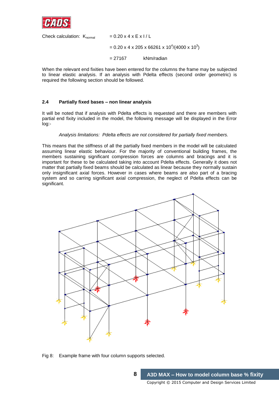

Check calculation:  $K_{normal}$  = 0.20 x 4 x E x I / L  $= 0.20 \times 4 \times 205 \times 66261 \times 10^{4} / (4000 \times 10^{3})$ = 27167 kNm/radian

When the relevant end fixities have been entered for the columns the frame may be subjected to linear elastic analysis. If an analysis with Pdelta effects (second order geometric) is required the following section should be followed.

### **2.4 Partially fixed bases – non linear analysis**

It will be noted that if analysis with Pdelta effects is requested and there are members with partial end fixity included in the model, the following message will be displayed in the Error log:-

#### *Analysis limitations: Pdelta effects are not considered for partially fixed members.*

This means that the stiffness of all the partially fixed members in the model will be calculated assuming linear elastic behaviour. For the majority of conventional building frames, the members sustaining significant compression forces are columns and bracings and it is important for these to be calculated taking into account Pdelta effects. Generally it does not matter that partially fixed beams should be calculated as linear because they normally sustain only insignificant axial forces. However in cases where beams are also part of a bracing system and so carring significant axial compression, the neglect of Pdelta effects can be significant.



Fig 8: Example frame with four column supports selected.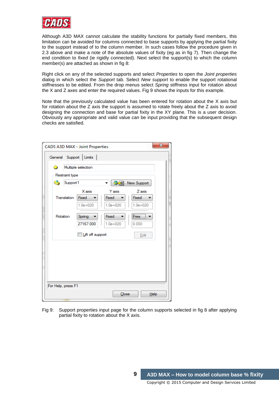

Although A3D MAX cannot calculate the stability functions for partially fixed members, this limitation can be avoided for columns connected to base supports by applying the partial fixity to the support instead of to the column member. In such cases follow the procedure given in 2.3 above and make a note of the absolute values of fixity (eg as in fig 7). Then change the end condition to *fixed* (ie rigidly connected). Next select the support(s) to which the column member(s) are attached as shown in fig 8:

Right click on any of the selected supports and select *Properties* to open the *Joint properties*  dialog in which select the *Support* tab. Select *New support* to enable the support rotational stiffnesses to be edited. From the drop menus select *Spring* stiffness input for rotation about the X and Z axes and enter the required values. Fig 9 shows the inputs for this example.

Note that the previously calculated value has been entered for rotation about the X axis but for rotation about the Z axis the support is assumed to rotate freely about the Z axis to avoid designing the connection and base for partial fixity in the XY plane. This is a user decision. Obviously any appropriate and valid value can be input providing that the subsequent design checks are satisfied.

|                | General Support   Limits |              |              |
|----------------|--------------------------|--------------|--------------|
| 0.             | Multiple selection       |              |              |
| Restraint type |                          |              |              |
| e.             | Support 1                | 34)          | New Support  |
|                | X axis                   | Y axis       | Z axis       |
| Translation    | Fixed                    | <b>Fixed</b> | <b>Fixed</b> |
|                | $1.0e + 020$             | $1.0e + 020$ | $1.0e + 020$ |
| Rotation       | Spring                   | Fixed        | Free         |
|                | 27167.000                | $1.0e + 020$ | 0.000        |
|                |                          |              |              |
|                | Lift off support         |              | Edit         |
|                |                          |              |              |
|                |                          |              |              |
|                |                          |              |              |
|                |                          |              |              |
|                |                          |              |              |
|                | For Help, press F1       |              |              |

Fig 9: Support properties input page for the column supports selected in fig 8 after applying partial fixity to rotation about the X axis.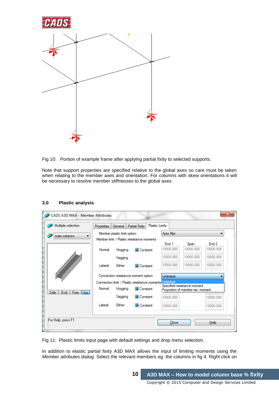

Fig 10: Portion of example frame after applying partial fixity to selected supports.

Note that support properties are specified relative to the global axes so care must be taken when relating to the member axes and orientation. For columns with skew orientations it will be necessary to resolve member stiffnesses to the global axes.

| CADS A3D MAX - Member Attributes |                                                                                           |                                  |                                           |           |           |             | $\mathbf{x}$ |  |
|----------------------------------|-------------------------------------------------------------------------------------------|----------------------------------|-------------------------------------------|-----------|-----------|-------------|--------------|--|
| Multiple selection               | <b>Properties</b>                                                                         | General                          | <b>Plastic Limits</b><br>Partial Fixity   |           |           |             |              |  |
| main columns                     |                                                                                           | Member plastic limit option      |                                           | Auto Mpr  |           |             |              |  |
|                                  |                                                                                           |                                  | Member limit / Plastic resistance moments | Fnd 1     | Span      | Fnd 2       |              |  |
|                                  | Normal                                                                                    | Hogging                          | <b>Constant</b>                           | 10000.000 | 10000.000 | 10000.000   |              |  |
|                                  |                                                                                           | Sagging                          |                                           | 10000.000 | 10000.000 | 10000.000   |              |  |
|                                  | Lateral                                                                                   | <b>Fither</b>                    | Constant                                  | 10000.000 | 10000.000 | 10000.000   |              |  |
|                                  | Connection resistance moment option<br><b>Unlimited</b>                                   |                                  |                                           |           |           |             |              |  |
|                                  | Unlimited<br>Connection limit / Plastic resistance moments<br>Specified resistance moment |                                  |                                           |           |           |             |              |  |
| End   Free   Iso<br>Side         | Normal                                                                                    | Proportion of member res. moment |                                           |           |           |             |              |  |
|                                  |                                                                                           | Sagging                          | <b>Constant</b>                           | 10000.000 |           | 10000.000   |              |  |
|                                  | Lateral                                                                                   | Either                           | <b>Constant</b>                           | 10000.000 |           | 10000.000   |              |  |
|                                  |                                                                                           |                                  |                                           |           |           |             |              |  |
| For Help, press F1               |                                                                                           |                                  |                                           | Close     |           | <b>Help</b> |              |  |

#### **3.0 Plastic analysis**

Fig 11: Plastic limits input page with default settings and drop menu selection.

In addition to elastic partial fixity A3D MAX allows the input of limiting moments using the *Member attributes* dialog. Select the relevant members eg: the columns in fig 4. Right click on